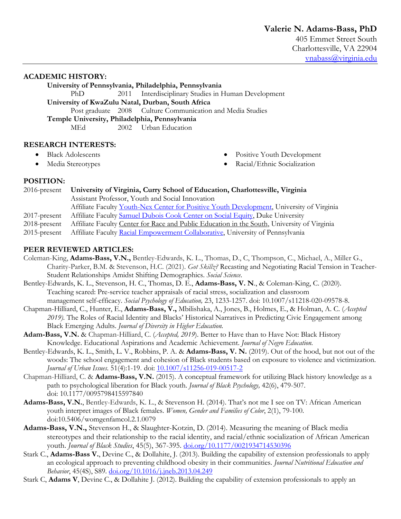## **ACADEMIC HISTORY:**

**University of Pennsylvania, Philadelphia, Pennsylvania** PhD 2011 Interdisciplinary Studies in Human Development

**University of KwaZulu Natal, Durban, South Africa**

Post graduate 2008 Culture Communication and Media Studies

**Temple University, Philadelphia, Pennsylvania**

MEd 2002 Urban Education

# **RESEARCH INTERESTS:**

- Black Adolescents
- Media Stereotypes
- Positive Youth Development
- Racial/Ethnic Socialization

# **POSITION:**

| 2016-present    | University of Virginia, Curry School of Education, Charlottesville, Virginia              |
|-----------------|-------------------------------------------------------------------------------------------|
|                 | Assistant Professor, Youth and Social Innovation                                          |
|                 | Affiliate Faculty Youth-Nex Center for Positive Youth Development, University of Virginia |
| $2017$ -present | Affiliate Faculty Samuel Dubois Cook Center on Social Equity, Duke University             |

- 2018-present Affiliate Faculty Center for Race and Public Education in the South, University of Virginia
- 2015-present Affiliate Faculty Racial Empowerment Collaborative, University of Pennsylvania

# **PEER REVIEWED ARTICLES:**

- Coleman-King, **Adams-Bass, V.N.,** Bentley-Edwards, K. L., Thomas, D., C, Thompson, C., Michael, A., Miller G., Charity-Parker, B.M. & Stevenson, H.C. (2021). *Got Skillz?* Recasting and Negotiating Racial Tension in Teacher-Student Relationships Amidst Shifting Demographics. *Social Science*.
- Bentley-Edwards, K. L., Stevenson, H. C., Thomas, D. E., **Adams-Bass, V. N**., & Coleman-King, C. (2020). Teaching scared: Pre-service teacher appraisals of racial stress, socialization and classroom management self-efficacy. *Social Psychology of Education,* 23, 1233-1257. doi: 10.1007/s11218-020-09578-8.
- Chapman-Hilliard, C., Hunter, E., **Adams-Bass, V.,** Mbilishaka, A., Jones, B., Holmes, E., & Holman, A. C. (*Accepted 2019).* The Roles of Racial Identity and Blacks' Historical Narratives in Predicting Civic Engagement among Black Emerging Adults. *Journal of Diversity in Higher Education.*
- **Adam-Bass, V.N.** & Chapman-Hilliard, C. (*Accepted, 2019*). Better to Have than to Have Not: Black History Knowledge. Educational Aspirations and Academic Achievement. *Journal of Negro Education.*
- Bentley-Edwards, K. L., Smith, L. V., Robbins, P. A. & **Adams-Bass, V. N.** (2019). Out of the hood, but not out of the woods: The school engagement and cohesion of Black students based on exposure to violence and victimization. *Journal of Urban Issues*. 51(4):1-19. doi:  $\frac{10.1007}{\text{s}11256-019-00517-2}$
- Chapman-Hilliard, C. & **Adams-Bass, V.N.** (2015). A conceptual framework for utilizing Black history knowledge as a path to psychological liberation for Black youth. *Journal of Black Psychology,* 42(6), 479-507. doi: 10.1177/0095798415597840
- **Adams-Bass, V.N.**, Bentley-Edwards, K. L., & Stevenson H. (2014). That's not me I see on TV: African American youth interpret images of Black females. *Women, Gender and Families of Color*, 2(1), 79-100. doi:10.5406/womgenfamcol.2.1.0079
- **Adams-Bass, V.N.,** Stevenson H., & Slaughter-Kotzin, D. (2014). Measuring the meaning of Black media stereotypes and their relationship to the racial identity, and racial/ethnic socialization of African American youth. *Journal of Black Studies*, 45(5), 367-395. doi.org/10.1177/0021934714530396
- Stark C., **Adams-Bass V.**, Devine C., & Dollahite, J. (2013). Building the capability of extension professionals to apply an ecological approach to preventing childhood obesity in their communities. *Journal Nutritional Education and Behavior*, 45(4S), S89. doi.org/10.1016/j.jneb.2013.04.249
- Stark C, **Adams V**, Devine C., & Dollahite J. (2012). Building the capability of extension professionals to apply an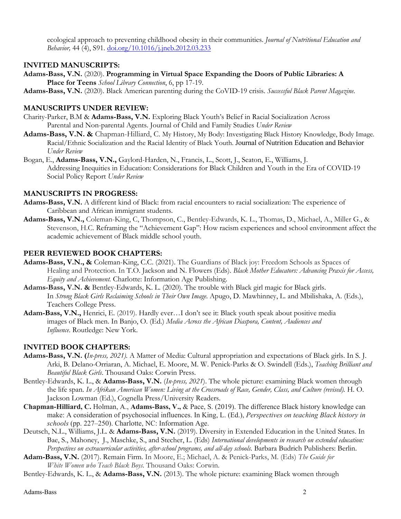ecological approach to preventing childhood obesity in their communities. *Journal of Nutritional Education and Behavior,* 44 (4), S91. doi.org/10.1016/j.jneb.2012.03.233

## **INVITED MANUSCRIPTS:**

- **Adams-Bass, V.N.** (2020). **Programming in Virtual Space Expanding the Doors of Public Libraries: A Place for Teens** *School Library Connection*, 6, pp 17-19.
- **Adams-Bass, V.N.** (2020). Black American parenting during the CoVID-19 crisis. *Successful Black Parent Magazine.*

## **MANUSCRIPTS UNDER REVIEW:**

- Charity-Parker, B.M & **Adams-Bass, V.N.** Exploring Black Youth's Belief in Racial Socialization Across Parental and Non-parental Agents. Journal of Child and Family Studies *Under Review*
- **Adams-Bass, V.N. &** Chapman-Hilliard, C. My History, My Body: Investigating Black History Knowledge, Body Image. Racial/Ethnic Socialization and the Racial Identity of Black Youth. Journal of Nutrition Education and Behavior *Under Review*
- Bogan, E., **Adams-Bass, V.N.,** Gaylord-Harden, N., Francis, L., Scott, J., Seaton, E., Williams, J. Addressing Inequities in Education: Considerations for Black Children and Youth in the Era of COVID-19 Social Policy Report *Under Review*

## **MANUSCRIPTS IN PROGRESS:**

- **Adams-Bass, V.N.** A different kind of Black: from racial encounters to racial socialization: The experience of Caribbean and African immigrant students.
- **Adams-Bass, V.N.,** Coleman-King, C, Thompson, C., Bentley-Edwards, K. L., Thomas, D., Michael, A., Miller G., & Stevenson, H.C. Reframing the "Achievement Gap": How racism experiences and school environment affect the academic achievement of Black middle school youth.

## **PEER REVIEWED BOOK CHAPTERS:**

- **Adams-Bass, V.N., &** Coleman-King, C.C. (2021). The Guardians of Black joy: Freedom Schools as Spaces of Healing and Protection. In T.O. Jackson and N. Flowers (Eds). *Black Mother Educators: Advancing Praxis for Access, Equity and Achievement.* Charlotte: Information Age Publishing.
- **Adams-Bass, V.N. &** Bentley-Edwards, K. L. (2020). The trouble with Black girl magic for Black girls. In *Strong Black Girls Reclaiming Schools in Their Own Image*. Apugo, D. Mawhinney, L. and Mbilishaka, A. (Eds.), Teachers College Press.
- **Adam-Bass, V.N.,** Henrici, E. (2019). Hardly ever…I don't see it: Black youth speak about positive media images of Black men. In Banjo, O. (Ed.) *Media Across the African Diaspora, Content, Audiences and Influence*. Routledge: New York.

## **INVITED BOOK CHAPTERS:**

- **Adams-Bass, V.N. (***In-press, 2021).* A Matter of Media: Cultural appropriation and expectations of Black girls. In S. J. Arki, B. Delano-Orriaran, A. Michael, E. Moore, M. W. Penick-Parks & O. Swindell (Eds.), *Teaching Brilliant and Beautiful Black Girls*. Thousand Oaks: Corwin Press.
- Bentley-Edwards, K. L., & **Adams-Bass, V.N.** (*In-press, 2021*). The whole picture: examining Black women through the life span. *In Afrikan American Women: Living at the Crossroads of Race, Gender, Class, and Culture (revised).* H. O. Jackson Lowman (Ed.), Cognella Press/University Readers.
- **Chapman-Hilliard, C.** Holman, A., **Adams-Bass, V.,** & Pace, S. (2019). The difference Black history knowledge can make: A consideration of psychosocial influences. In King, L. (Ed.), *Perspectives on teaching Black history in schools* (pp. 227–250). Charlotte, NC: Information Age.
- Deutsch, N.L., Williams, J.L. & **Adams-Bass, V.N.** (2019). Diversity in Extended Education in the United States. In Bae, S., Mahoney, J., Maschke, S., and Stecher, L. (Eds) *International developments in research on extended education: Perspectives on extracurricular activities, after-school programs, and all-day schools.* Barbara Budrich Publishers: Berlin.
- **Adam-Bass, V.N.** (2017). Remain Firm. In Moore, E.; Michael, A. & Penick-Parks, M. (Eds) *The Guide for White Women who Teach Black Boys*. Thousand Oaks: Corwin.
- Bentley-Edwards, K. L., & **Adams-Bass, V.N.** (2013). The whole picture: examining Black women through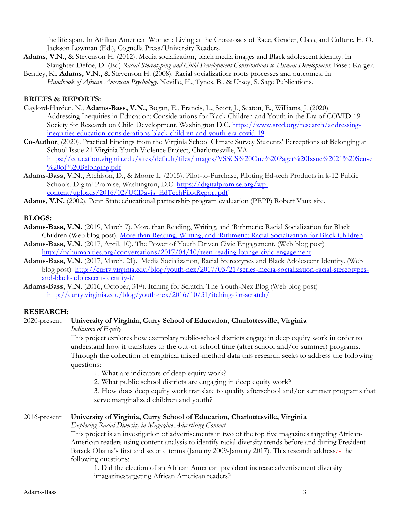the life span. In Afrikan American Women: Living at the Crossroads of Race, Gender, Class, and Culture. H. O. Jackson Lowman (Ed.), Cognella Press/University Readers.

- **Adams, V**.**N.,** & Stevenson H. (2012). Media socialization**,** black media images and Black adolescent identity. In Slaughter-Defoe, D. (Ed) *Racial Stereotyping and Child Development Contributions to Human Development*. Basel: Karger.
- Bentley, K., **Adams, V**.**N.,** & Stevenson H. (2008). Racial socialization: roots processes and outcomes. In *Handbook of African American Psychology*. Neville, H., Tynes, B., & Utsey, S. Sage Publications.

#### **BRIEFS & REPORTS:**

- Gaylord-Harden, N., **Adams-Bass, V.N.,** Bogan, E., Francis, L., Scott, J., Seaton, E., Williams, J. (2020). Addressing Inequities in Education: Considerations for Black Children and Youth in the Era of COVID-19 Society for Research on Child Development, Washington D.C. https://www.srcd.org/research/addressinginequities-education-considerations-black-children-and-youth-era-covid-19
- **Co-Author**, (2020). Practical Findings from the Virginia School Climate Survey Students' Perceptions of Belonging at School Issue 21 Virginia Youth Violence Project, Charlottesville, VA https://education.virginia.edu/sites/default/files/images/VSSCS%20One%20Pager%20Issue%2021%20Sense %20of%20Belonging.pdf
- **Adams-Bass, V.N.,** Atchison, D., & Moore L. (2015). Pilot-to-Purchase, Piloting Ed-tech Products in k-12 Public Schools. Digital Promise, Washington, D.C. https://digitalpromise.org/wpcontent/uploads/2016/02/UCDavis\_EdTechPilotReport.pdf
- **Adams, V.N.** (2002). Penn State educational partnership program evaluation (PEPP) Robert Vaux site.

#### **BLOGS:**

- **Adams-Bass, V.N.** (2019, March 7). More than Reading, Writing, and 'Rithmetic: Racial Socialization for Black Children (Web blog post). More than Reading, Writing, and 'Rithmetic: Racial Socialization for Black Children
- **Adams-Bass, V.N.** (2017, April, 10). The Power of Youth Driven Civic Engagement. (Web blog post) http://pahumanities.org/conversations/2017/04/10/teen-reading-lounge-civic-engagement
- **Adams-Bass, V.N.** (2017, March, 21). Media Socialization, Racial Stereotypes and Black Adolescent Identity. (Web blog post) http://curry.virginia.edu/blog/youth-nex/2017/03/21/series-media-socialization-racial-stereotypesand-black-adolescent-identity-i/
- **Adams-Bass, V.N.** (2016, October, 31st). Itching for Scratch. The Youth-Nex Blog (Web blog post) http://curry.virginia.edu/blog/youth-nex/2016/10/31/itching-for-scratch/

#### **RESEARCH:**

## 2020-present **University of Virginia, Curry School of Education, Charlottesville, Virginia**

*Indicators of Equity*

This project explores how exemplary public-school districts engage in deep equity work in order to understand how it translates to the out-of-school time (after school and/or summer) programs. Through the collection of empirical mixed-method data this research seeks to address the following questions:

1. What are indicators of deep equity work?

2. What public school districts are engaging in deep equity work?

3. How does deep equity work translate to quality afterschool and/or summer programs that serve marginalized children and youth?

#### 2016-present **University of Virginia, Curry School of Education, Charlottesville, Virginia**

*Exploring Racial Diversity in Magazine Advertising Content*

This project is an investigation of advertisements in two of the top five magazines targeting African-American readers using content analysis to identify racial diversity trends before and during President Barack Obama's first and second terms (January 2009-January 2017). This research addresses the following questions:

1. Did the election of an African American president increase advertisement diversity imagazinestargeting African American readers?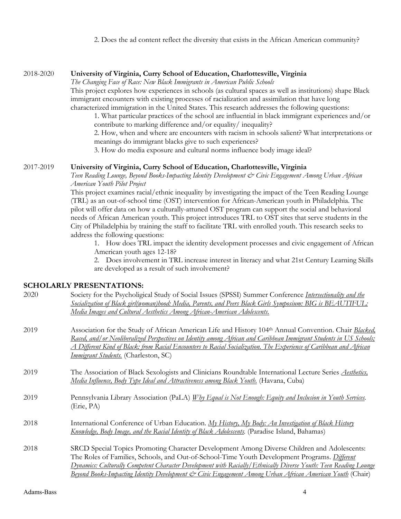2. Does the ad content reflect the diversity that exists in the African American community?

#### 2018-2020 **University of Virginia, Curry School of Education, Charlottesville, Virginia**

*The Changing Face of Race: New Black Immigrants in American Public Schools*

This project explores how experiences in schools (as cultural spaces as well as institutions) shape Black immigrant encounters with existing processes of racialization and assimilation that have long characterized immigration in the United States. This research addresses the following questions:

1. What particular practices of the school are influential in black immigrant experiences and/or contribute to marking difference and/or equality/ inequality?

2. How, when and where are encounters with racism in schools salient? What interpretations or meanings do immigrant blacks give to such experiences?

3. How do media exposure and cultural norms influence body image ideal?

#### 2017-2019 **University of Virginia, Curry School of Education, Charlottesville, Virginia**

*Teen Reading Lounge, Beyond Books-Impacting Identity Development & Civic Engagement Among Urban African American Youth Pilot Project*

This project examines racial/ethnic inequality by investigating the impact of the Teen Reading Lounge (TRL) as an out-of-school time (OST) intervention for African-American youth in Philadelphia. The pilot will offer data on how a culturally-attuned OST program can support the social and behavioral needs of African American youth. This project introduces TRL to OST sites that serve students in the City of Philadelphia by training the staff to facilitate TRL with enrolled youth. This research seeks to address the following questions:

1. How does TRL impact the identity development processes and civic engagement of African American youth ages 12-18?

2. Does involvement in TRL increase interest in literacy and what 21st Century Learning Skills are developed as a result of such involvement?

# **SCHOLARLY PRESENTATIONS:**<br>2020 Society for the Peypholici

| 2020 | Society for the Psycholigical Study of Social Issues (SPSSI) Summer Conference <i>Intersectionality and the</i><br>Socialization of Black girl(woman)hood: Media, Parents, and Peers Black Girls Symposium: BIG is BEAUTIFUL:<br><u>Media Images and Cultural Aesthetics Among African-American Adolescents.</u>                                                                                                             |
|------|------------------------------------------------------------------------------------------------------------------------------------------------------------------------------------------------------------------------------------------------------------------------------------------------------------------------------------------------------------------------------------------------------------------------------|
| 2019 | Association for the Study of African American Life and History 104th Annual Convention. Chair Blacked,<br>Raced, and/or Neoliberalized Perspectives on Identity among African and Caribbean Immigrant Students in US Schools;<br><u>A Different Kind of Black: from Racial Encounters to Racial Socialization. The Experience of Caribbean and African</u><br><i>Immigrant Students.</i> (Charleston, SC)                    |
| 2019 | The Association of Black Sexologists and Clinicians Roundtable International Lecture Series Aesthetics,<br>Media Influence, Body Type Ideal and Attractiveness among Black Youth. (Havana, Cuba)                                                                                                                                                                                                                             |
| 2019 | Pennsylvania Library Association (PaLA) Why Equal is Not Enough: Equity and Inclusion in Youth Services.<br>(Erie, PA)                                                                                                                                                                                                                                                                                                       |
| 2018 | International Conference of Urban Education. My History, My Body: An Investigation of Black History<br><b>Knowledge, Body Image, and the Racial Identity of Black Adolescents</b> . (Paradise Island, Bahamas)                                                                                                                                                                                                               |
| 2018 | SRCD Special Topics Promoting Character Development Among Diverse Children and Adolescents:<br>The Roles of Families, Schools, and Out-of-School-Time Youth Development Programs. Different<br>Dynamics: Culturally Competent Character Development with Racially/Ethnically Diverse Youth: Teen Reading Lounge<br>Beyond Books-Impacting Identity Development & Civic Engagement Among Urban African American Youth (Chair) |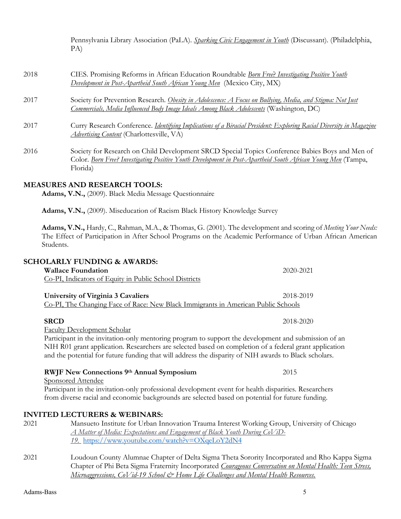Pennsylvania Library Association (PaLA). *Sparking Civic Engagement in Youth* (Discussant). (Philadelphia, PA)

| 2018 | CIES. Promising Reforms in African Education Roundtable <i>Born Free? Investigating Positive Youth</i><br>Development in Post-Apartheid South African Young Men (Mexico City, MX)                                           |
|------|-----------------------------------------------------------------------------------------------------------------------------------------------------------------------------------------------------------------------------|
| 2017 | Society for Prevention Research. Obesity in Adolescence: A Focus on Bullying, Media, and Stigma: Not Just<br>Commercials, Media Influenced Body Image Ideals Among Black Adolescents (Washington, DC)                       |
| 2017 | Curry Research Conference. <i>Identifying Implications of a Biracial President: Exploring Racial Diversity in Magazine</i><br><i><u>Advertising Content</u></i> (Charlottesville, VA)                                       |
| 2016 | Society for Research on Child Development SRCD Special Topics Conference Babies Boys and Men of<br>Color. Born Free? Investigating Positive Youth Development in Post-Apartheid South African Young Men (Tampa,<br>Florida) |

## **MEASURES AND RESEARCH TOOLS:**

**Adams, V.N.,** (2009). Black Media Message Questionnaire

**Adams, V.N.,** (2009). Miseducation of Racism Black History Knowledge Survey

**Adams, V.N.,** Hardy, C., Rahman, M.A., & Thomas, G. (2001). The development and scoring of *Meeting Your Needs:* The Effect of Participation in After School Programs on the Academic Performance of Urban African American Students.

|      | <b>SCHOLARLY FUNDING &amp; AWARDS:</b>                                                                 |           |
|------|--------------------------------------------------------------------------------------------------------|-----------|
|      | <b>Wallace Foundation</b>                                                                              | 2020-2021 |
|      | Co-PI, Indicators of Equity in Public School Districts                                                 |           |
|      | University of Virginia 3 Cavaliers                                                                     | 2018-2019 |
|      | <u>Co-PI, The Changing Face of Race: New Black Immigrants in American Public Schools</u>               |           |
|      | <b>SRCD</b>                                                                                            | 2018-2020 |
|      | <b>Faculty Development Scholar</b>                                                                     |           |
|      | Participant in the invitation-only mentoring program to support the development and submission of an   |           |
|      | NIH R01 grant application. Researchers are selected based on completion of a federal grant application |           |
|      | and the potential for future funding that will address the disparity of NIH awards to Black scholars.  |           |
|      | <b>RWJF New Connections 9th Annual Symposium</b>                                                       | 2015      |
|      | <b>Sponsored Attendee</b>                                                                              |           |
|      | Participant in the invitation-only professional development event for health disparities. Researchers  |           |
|      | from diverse racial and economic backgrounds are selected based on potential for future funding.       |           |
|      | <b>INVITED LECTURERS &amp; WEBINARS:</b>                                                               |           |
| 2021 | Mansueto Institute for Urban Innovation Trauma Interest Working Group, University of Chicago           |           |
|      | <u>A Matter of Media: Expectations and Engagement of Black Youth During CoViD-</u>                     |           |
|      | 19. https://www.youtube.com/watch?v=OXqeLoY2dN4                                                        |           |
|      |                                                                                                        |           |

2021 Loudoun County Alumnae Chapter of Delta Sigma Theta Sorority Incorporated and Rho Kappa Sigma Chapter of Phi Beta Sigma Fraternity Incorporated *Courageous Conversation on Mental Health: Teen Stress, Microaggressions, CoVid-19 School & Home Life Challenges and Mental Health Resources.*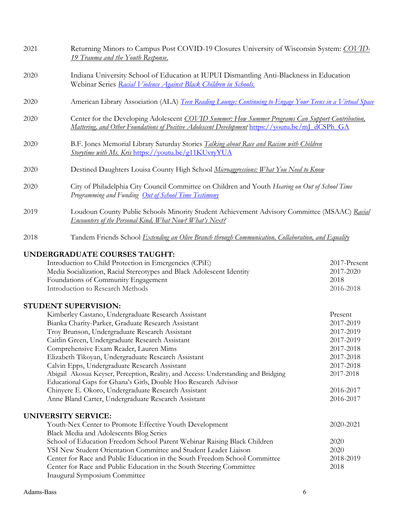| 2021 | Returning Minors to Campus Post COVID-19 Closures University of Wisconsin System: COVID-<br><u><b>19 Trauma and the Youth Response.</b></u>                                                          |  |  |
|------|------------------------------------------------------------------------------------------------------------------------------------------------------------------------------------------------------|--|--|
| 2020 | Indiana University School of Education at IUPUI Dismantling Anti-Blackness in Education<br>Webinar Series Racial Violence Against Black Children in Schools.                                         |  |  |
| 2020 | American Library Association (ALA) Teen Reading Lounge: Continuing to Engage Your Teens in a Virtual Space                                                                                           |  |  |
| 2020 | Center for the Developing Adolescent COVID Summer: How Summer Programs Can Support Contribution,<br>Mattering, and Other Foundations of Positive Adolescent Development https://youtu.be/mJ_dCSPh_GA |  |  |
| 2020 | B.F. Jones Memorial Library Saturday Stories Talking about Race and Racism with Children<br><b>Storytime with Ms. Kris https://youtu.be/g11KUvryYUA</b>                                              |  |  |
| 2020 | Destined Daughters Louisa County High School Microaggressions: What You Need to Know                                                                                                                 |  |  |
| 2020 | City of Philadelphia City Council Committee on Children and Youth Hearing on Out of School Time<br>Programming and Funding Out of School Time Testimony                                              |  |  |
| 2019 | Loudoun County Public Schools Minority Student Achievement Advisory Committee (MSAAC) Racial<br><b>Encounters of the Personal Kind, What Now? What's Next?</b>                                       |  |  |
| 2018 | Tandem Friends School <i>Extending an Olive Branch through Communication, Collaboration, and Equality</i>                                                                                            |  |  |
|      | <b>UNDERGRADUATE COURSES TAUGHT:</b>                                                                                                                                                                 |  |  |
|      | Introduction to Child Protection in Emergencies (CPiE)<br>2017-Present                                                                                                                               |  |  |
|      | Media Socialization, Racial Stereotypes and Black Adolescent Identity<br>2017-2020                                                                                                                   |  |  |
|      | Foundations of Community Engagement<br>2018                                                                                                                                                          |  |  |
|      | Introduction to Research Methods<br>2016-2018                                                                                                                                                        |  |  |

## **STUDENT SUPERVISION:**

| Kimberley Castano, Undergraduate Research Assistant                                | Present   |
|------------------------------------------------------------------------------------|-----------|
| Bianka Charity-Parker, Graduate Research Assistant                                 | 2017-2019 |
| Troy Brunson, Undergraduate Research Assistant                                     | 2017-2019 |
| Caitlin Green, Undergraduate Research Assistant                                    | 2017-2019 |
| Comprehensive Exam Reader, Lauren Mims                                             | 2017-2018 |
| Elizabeth Tikoyan, Undergraduate Research Assistant                                | 2017-2018 |
| Calvin Epps, Undergraduate Research Assistant                                      | 2017-2018 |
| Abigail Akosua Keyser, Perception, Reality, and Access: Understanding and Bridging | 2017-2018 |
| Educational Gaps for Ghana's Girls, Double Hoo Research Advisor                    |           |
| Chinyere E. Okoro, Undergraduate Research Assistant                                | 2016-2017 |
| Anne Bland Carter, Undergraduate Research Assistant                                | 2016-2017 |
|                                                                                    |           |
| <b>UNIVERSITY SERVICE:</b>                                                         |           |
| Varthe May Contains Discusses Filippines Varthe Davelanges of                      | 2020.2021 |

Youth-Nex Center to Promote Effective Youth Development 2020-2021 Black Media and Adolescents Blog Series School of Education Freedom School Parent Webinar Raising Black Children 2020 VSI New Student Orientation Committee and Student Leader Liaison 2020<br>
Center for Race and Public Education in the South Freedom School Committee 2018-2019 Center for Race and Public Education in the South Freedom School Committee Center for Race and Public Education in the South Steering Committee 2018 Inaugural Symposium Committee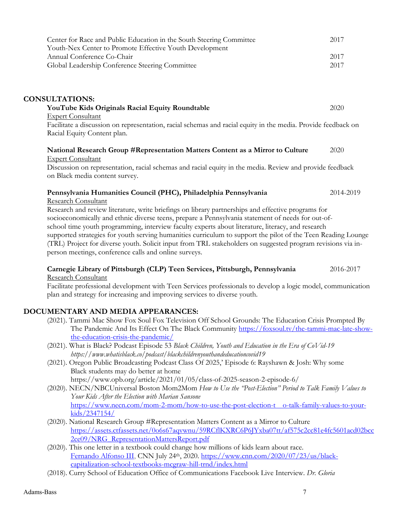| Center for Race and Public Education in the South Steering Committee | 2017 |
|----------------------------------------------------------------------|------|
| Youth-Nex Center to Promote Effective Youth Development              |      |
| Annual Conference Co-Chair                                           | 2017 |
| Global Leadership Conference Steering Committee                      | 2017 |

## **CONSULTATIONS:**

# **YouTube Kids Originals Racial Equity Roundtable** 2020 Expert Consultant

Facilitate a discussion on representation, racial schemas and racial equity in the media. Provide feedback on Racial Equity Content plan.

#### **National Research Group #Representation Matters Content as a Mirror to Culture** 2020 Expert Consultant

Discussion on representation, racial schemas and racial equity in the media. Review and provide feedback on Black media content survey.

# **Pennsylvania Humanities Council (PHC), Philadelphia Pennsylvania** 2014-2019

Research Consultant

Research and review literature, write briefings on library partnerships and effective programs for socioeconomically and ethnic diverse teens, prepare a Pennsylvania statement of needs for out-ofschool time youth programming, interview faculty experts about literature, literacy, and research supported strategies for youth serving humanities curriculum to support the pilot of the Teen Reading Lounge (TRL) Project for diverse youth. Solicit input from TRL stakeholders on suggested program revisions via inperson meetings, conference calls and online surveys.

#### **Carnegie Library of Pittsburgh (CLP) Teen Services, Pittsburgh, Pennsylvania** 2016-2017 Research Consultant

Facilitate professional development with Teen Services professionals to develop a logic model, communication plan and strategy for increasing and improving services to diverse youth.

# **DOCUMENTARY AND MEDIA APPEARANCES:**

- (2021). Tammi Mac Show Fox Soul Fox Television Off School Grounds: The Education Crisis Prompted By The Pandemic And Its Effect On The Black Community https://foxsoul.tv/the-tammi-mac-late-showthe-education-crisis-the-pandemic/
- (2021). What is Black? Podcast Episode 53 *Black Children, Youth and Education in the Era of CoVid-19 https://www.whatisblack.co/podcast/blackchildrenyouthandeducationcovid19*
- (2021). Oregon Public Broadcasting Podcast Class Of 2025,' Episode 6: Rayshawn & Josh: Why some Black students may do better at home https://www.opb.org/article/2021/01/05/class-of-2025-season-2-episode-6/
- (2020). NECN/NBCUniversal Boston Mom2Mom *How to Use the "Post-Election" Period to Talk Family Values to Your Kids After the Election with Marian Sansone* https://www.necn.com/mom-2-mom/how-to-use-the-post-election-t o-talk-family-values-to-yourkids/2347154/
- (2020). National Research Group #Representation Matters Content as a Mirror to Culture https://assets.ctfassets.net/0o6s67aqvwnu/59RCflKXRC6P6JYxba07tt/af575c2cc81e4fc5601acd02bcc 2ce09/NRG\_RepresentationMattersReport.pdf
- (2020). This one letter in a textbook could change how millions of kids learn about race. Fernando Alfonso III, CNN July 24th, 2020. https://www.cnn.com/2020/07/23/us/blackcapitalization-school-textbooks-mcgraw-hill-trnd/index.html
- (2018). Curry School of Education Office of Communications Facebook Live Interview. *Dr. Gloria*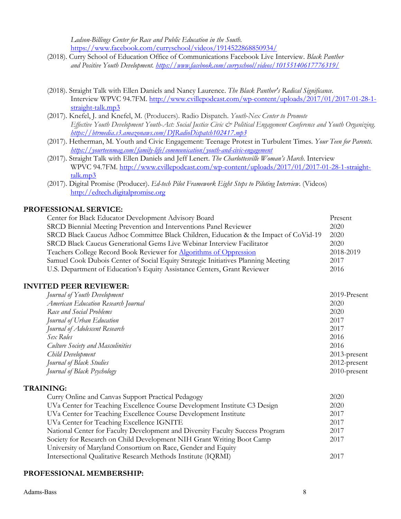*Ladson-Billings Center for Race and Public Education in the South.*  https://www.facebook.com/curryschool/videos/1914522868850934/

- (2018). Curry School of Education Office of Communications Facebook Live Interview. *Black Panther and Positive Youth Development. https://www.facebook.com/curryschool/videos/10155140617776319/*
- (2018). Straight Talk with Ellen Daniels and Nancy Laurence. *The Black Panther's Radical Significance*. Interview WPVC 94.7FM. http://www.cvillepodcast.com/wp-content/uploads/2017/01/2017-01-28-1 straight-talk.mp3
- (2017). Knefel, J. and Knefel, M. (Producers). Radio Dispatch. *Youth-Nex Center to Promote Effective Youth Development Youth-Act: Social Justice Civic & Political Engagement Conference and Youth Organizing. https://btrmedia.s3.amazonaws.com/DJRadioDispatch102417.mp3*
- (2017). Hetherman, M. Youth and Civic Engagement: Teenage Protest in Turbulent Times. *Your Teen for Parents. https://yourteenmag.com/family-life/communication/youth-and-civic-engagement*
- (2017). Straight Talk with Ellen Daniels and Jeff Lenert. *The Charlottesville Woman's March*. Interview WPVC 94.7FM. http://www.cvillepodcast.com/wp-content/uploads/2017/01/2017-01-28-1-straighttalk.mp3
- (2017). Digital Promise (Producer). *Ed-tech Pilot Framework Eight Steps to Piloting Interview*. (Videos) http://edtech.digitalpromise.org

## **PROFESSIONAL SERVICE:**

| Center for Black Educator Development Advisory Board                                 | Present   |
|--------------------------------------------------------------------------------------|-----------|
| SRCD Biennial Meeting Prevention and Interventions Panel Reviewer                    |           |
| SRCD Black Caucus Adhoc Committee Black Children, Education & the Impact of CoVid-19 | 2020      |
| SRCD Black Caucus Generational Gems Live Webinar Interview Facilitator               | 2020      |
| Teachers College Record Book Reviewer for Algorithms of Oppression                   | 2018-2019 |
| Samuel Cook Dubois Center of Social Equity Strategic Initiatives Planning Meeting    | 2017      |
| U.S. Department of Education's Equity Assistance Centers, Grant Reviewer             |           |

#### **INVITED PEER REVIEWER:**

| Journal of Youth Development        | 2019-Present    |
|-------------------------------------|-----------------|
| American Education Research Journal | 2020            |
| Race and Social Problems            | 2020            |
| Journal of Urban Education          | 2017            |
| Journal of Adolescent Research      | 2017            |
| Sex Roles                           | 2016            |
| Culture Society and Masculinities   | 2016            |
| Child Development                   | $2013$ -present |
| Journal of Black Studies            | $2012$ -present |
| Journal of Black Psychology         | $2010$ -present |

#### **TRAINING:**

| Curry Online and Canvas Support Practical Pedagogy                            | 2020 |
|-------------------------------------------------------------------------------|------|
| UVa Center for Teaching Excellence Course Development Institute C3 Design     | 2020 |
| UVa Center for Teaching Excellence Course Development Institute               | 2017 |
| UVa Center for Teaching Excellence IGNITE                                     | 2017 |
| National Center for Faculty Development and Diversity Faculty Success Program | 2017 |
| Society for Research on Child Development NIH Grant Writing Boot Camp         | 2017 |
| University of Maryland Consortium on Race, Gender and Equity                  |      |
| Intersectional Qualitative Research Methods Institute (IQRMI)                 | 2017 |

#### **PROFESSIONAL MEMBERSHIP:**